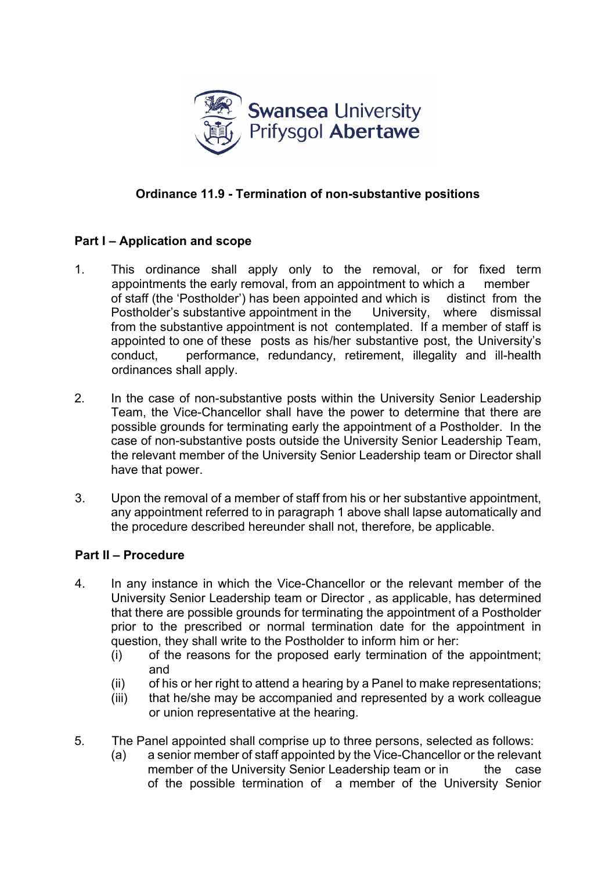

## **Ordinance 11.9 - Termination of non-substantive positions**

## **Part I – Application and scope**

- 1. This ordinance shall apply only to the removal, or for fixed term appointments the early removal, from an appointment to which a member of staff (the 'Postholder') has been appointed and which is distinct from the Postholder's substantive appointment in the University, where dismissal from the substantive appointment is not contemplated. If a member of staff is appointed to one of these posts as his/her substantive post, the University's conduct, performance, redundancy, retirement, illegality and ill-health ordinances shall apply.
- 2. In the case of non-substantive posts within the University Senior Leadership Team, the Vice-Chancellor shall have the power to determine that there are possible grounds for terminating early the appointment of a Postholder. In the case of non-substantive posts outside the University Senior Leadership Team, the relevant member of the University Senior Leadership team or Director shall have that power.
- 3. Upon the removal of a member of staff from his or her substantive appointment, any appointment referred to in paragraph 1 above shall lapse automatically and the procedure described hereunder shall not, therefore, be applicable.

## **Part II – Procedure**

- 4. In any instance in which the Vice-Chancellor or the relevant member of the University Senior Leadership team or Director , as applicable, has determined that there are possible grounds for terminating the appointment of a Postholder prior to the prescribed or normal termination date for the appointment in question, they shall write to the Postholder to inform him or her:
	- (i) of the reasons for the proposed early termination of the appointment; and
	- (ii) of his or her right to attend a hearing by a Panel to make representations;
	- (iii) that he/she may be accompanied and represented by a work colleague or union representative at the hearing.
- 5. The Panel appointed shall comprise up to three persons, selected as follows:
	- (a) a senior member of staff appointed by the Vice-Chancellor or the relevant member of the University Senior Leadership team or in the case of the possible termination of a member of the University Senior